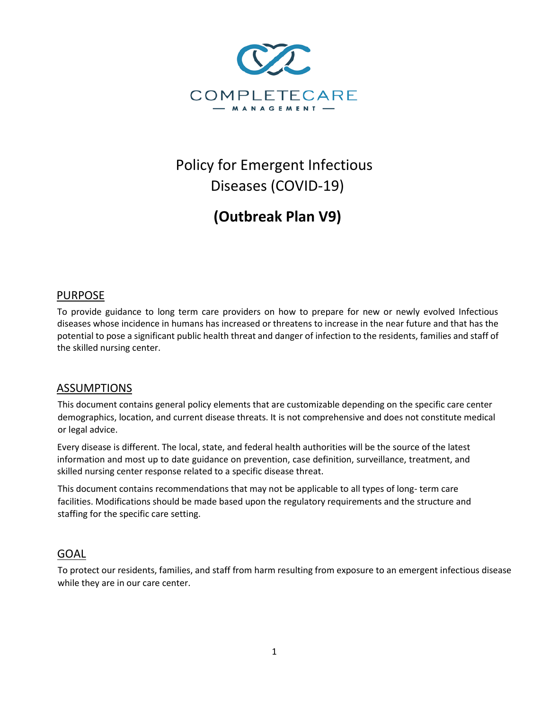

# Policy for Emergent Infectious Diseases (COVID-19)

**(Outbreak Plan V9)** 

# PURPOSE

To provide guidance to long term care providers on how to prepare for new or newly evolved Infectious diseases whose incidence in humans has increased or threatens to increase in the near future and that has the potential to pose a significant public health threat and danger of infection to the residents, families and staff of the skilled nursing center.

# ASSUMPTIONS

This document contains general policy elements that are customizable depending on the specific care center demographics, location, and current disease threats. It is not comprehensive and does not constitute medical or legal advice.

Every disease is different. The local, state, and federal health authorities will be the source of the latest information and most up to date guidance on prevention, case definition, surveillance, treatment, and skilled nursing center response related to a specific disease threat.

This document contains recommendations that may not be applicable to all types of long- term care facilities. Modifications should be made based upon the regulatory requirements and the structure and staffing for the specific care setting.

# GOAL

To protect our residents, families, and staff from harm resulting from exposure to an emergent infectious disease while they are in our care center.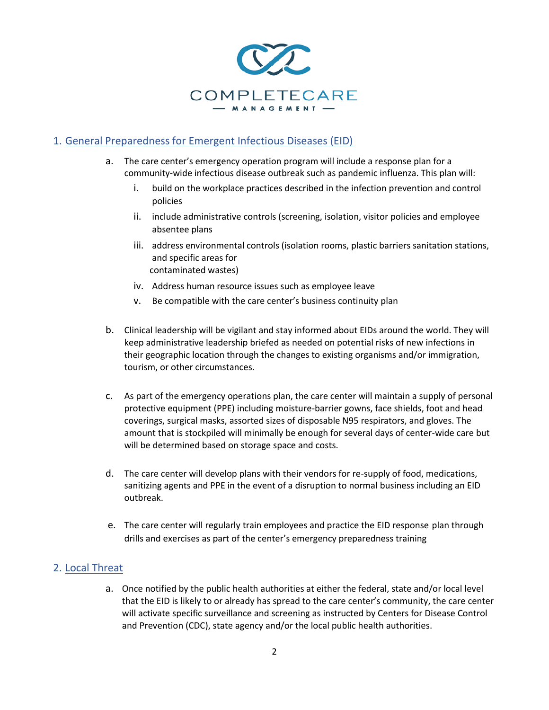

# 1. General Preparedness for Emergent Infectious Diseases (EID)

- a. The care center's emergency operation program will include a response plan for a community-wide infectious disease outbreak such as pandemic influenza. This plan will:
	- i. build on the workplace practices described in the infection prevention and control policies
	- ii. include administrative controls (screening, isolation, visitor policies and employee absentee plans
	- iii. address environmental controls (isolation rooms, plastic barriers sanitation stations, and specific areas for contaminated wastes)
	- iv. Address human resource issues such as employee leave
	- v. Be compatible with the care center's business continuity plan
- b. Clinical leadership will be vigilant and stay informed about EIDs around the world. They will keep administrative leadership briefed as needed on potential risks of new infections in their geographic location through the changes to existing organisms and/or immigration, tourism, or other circumstances.
- c. As part of the emergency operations plan, the care center will maintain a supply of personal protective equipment (PPE) including moisture-barrier gowns, face shields, foot and head coverings, surgical masks, assorted sizes of disposable N95 respirators, and gloves. The amount that is stockpiled will minimally be enough for several days of center-wide care but will be determined based on storage space and costs.
- d. The care center will develop plans with their vendors for re-supply of food, medications, sanitizing agents and PPE in the event of a disruption to normal business including an EID outbreak.
- e. The care center will regularly train employees and practice the EID response plan through drills and exercises as part of the center's emergency preparedness training

# 2. Local Threat

a. Once notified by the public health authorities at either the federal, state and/or local level that the EID is likely to or already has spread to the care center's community, the care center will activate specific surveillance and screening as instructed by Centers for Disease Control and Prevention (CDC), state agency and/or the local public health authorities.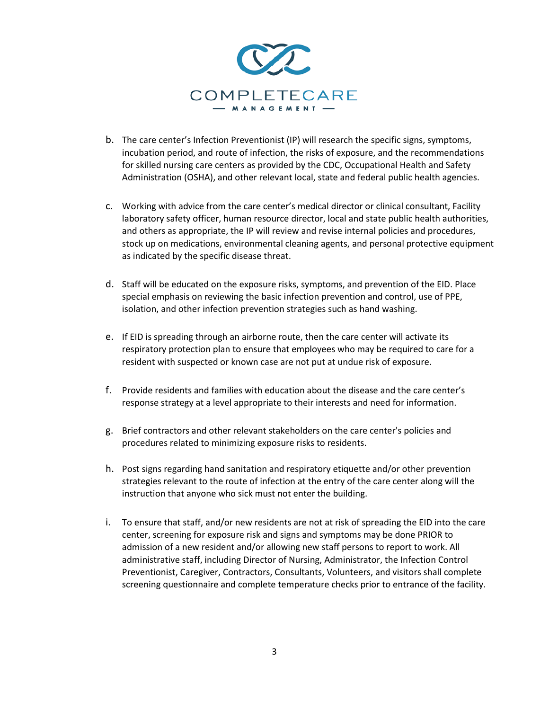

- b. The care center's Infection Preventionist (IP) will research the specific signs, symptoms, incubation period, and route of infection, the risks of exposure, and the recommendations for skilled nursing care centers as provided by the CDC, Occupational Health and Safety Administration (OSHA), and other relevant local, state and federal public health agencies.
- c. Working with advice from the care center's medical director or clinical consultant, Facility laboratory safety officer, human resource director, local and state public health authorities, and others as appropriate, the IP will review and revise internal policies and procedures, stock up on medications, environmental cleaning agents, and personal protective equipment as indicated by the specific disease threat.
- d. Staff will be educated on the exposure risks, symptoms, and prevention of the EID. Place special emphasis on reviewing the basic infection prevention and control, use of PPE, isolation, and other infection prevention strategies such as hand washing.
- e. If EID is spreading through an airborne route, then the care center will activate its respiratory protection plan to ensure that employees who may be required to care for a resident with suspected or known case are not put at undue risk of exposure.
- f. Provide residents and families with education about the disease and the care center's response strategy at a level appropriate to their interests and need for information.
- g. Brief contractors and other relevant stakeholders on the care center's policies and procedures related to minimizing exposure risks to residents.
- h. Post signs regarding hand sanitation and respiratory etiquette and/or other prevention strategies relevant to the route of infection at the entry of the care center along will the instruction that anyone who sick must not enter the building.
- i. To ensure that staff, and/or new residents are not at risk of spreading the EID into the care center, screening for exposure risk and signs and symptoms may be done PRIOR to admission of a new resident and/or allowing new staff persons to report to work. All administrative staff, including Director of Nursing, Administrator, the Infection Control Preventionist, Caregiver, Contractors, Consultants, Volunteers, and visitors shall complete screening questionnaire and complete temperature checks prior to entrance of the facility.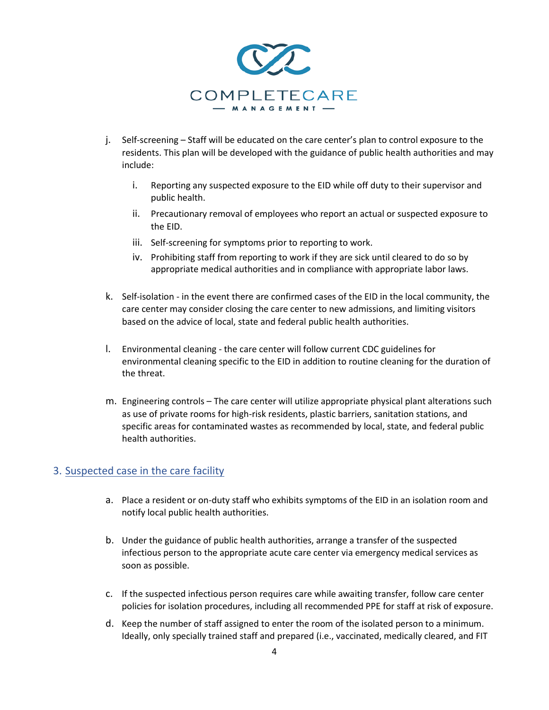

- j. Self-screening Staff will be educated on the care center's plan to control exposure to the residents. This plan will be developed with the guidance of public health authorities and may include:
	- i. Reporting any suspected exposure to the EID while off duty to their supervisor and public health.
	- ii. Precautionary removal of employees who report an actual or suspected exposure to the EID.
	- iii. Self-screening for symptoms prior to reporting to work.
	- iv. Prohibiting staff from reporting to work if they are sick until cleared to do so by appropriate medical authorities and in compliance with appropriate labor laws.
- k. Self-isolation in the event there are confirmed cases of the EID in the local community, the care center may consider closing the care center to new admissions, and limiting visitors based on the advice of local, state and federal public health authorities.
- l. Environmental cleaning the care center will follow current CDC guidelines for environmental cleaning specific to the EID in addition to routine cleaning for the duration of the threat.
- m. Engineering controls The care center will utilize appropriate physical plant alterations such as use of private rooms for high-risk residents, plastic barriers, sanitation stations, and specific areas for contaminated wastes as recommended by local, state, and federal public health authorities.

## 3. Suspected case in the care facility

- a. Place a resident or on-duty staff who exhibits symptoms of the EID in an isolation room and notify local public health authorities.
- b. Under the guidance of public health authorities, arrange a transfer of the suspected infectious person to the appropriate acute care center via emergency medical services as soon as possible.
- c. If the suspected infectious person requires care while awaiting transfer, follow care center policies for isolation procedures, including all recommended PPE for staff at risk of exposure.
- d. Keep the number of staff assigned to enter the room of the isolated person to a minimum. Ideally, only specially trained staff and prepared (i.e., vaccinated, medically cleared, and FIT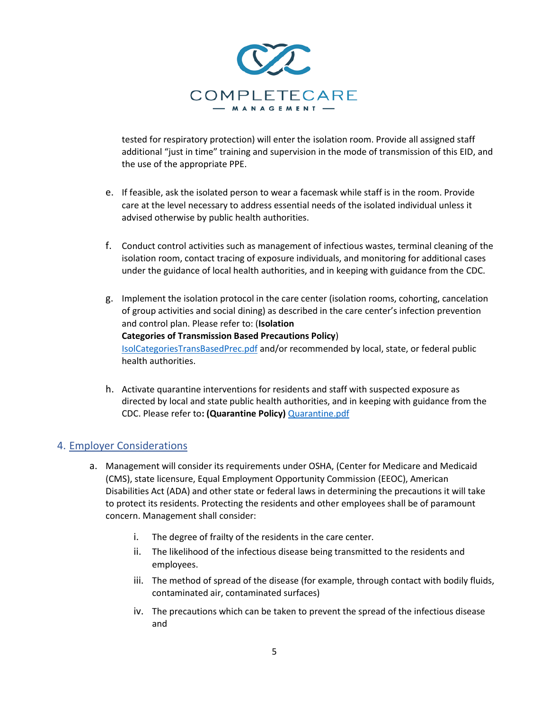

tested for respiratory protection) will enter the isolation room. Provide all assigned staff additional "just in time" training and supervision in the mode of transmission of this EID, and the use of the appropriate PPE.

- e. If feasible, ask the isolated person to wear a facemask while staff is in the room. Provide care at the level necessary to address essential needs of the isolated individual unless it advised otherwise by public health authorities.
- f. Conduct control activities such as management of infectious wastes, terminal cleaning of the isolation room, contact tracing of exposure individuals, and monitoring for additional cases under the guidance of local health authorities, and in keeping with guidance from the CDC.
- g. Implement the isolation protocol in the care center (isolation rooms, cohorting, cancelation of group activities and social dining) as described in the care center's infection prevention and control plan. Please refer to: (**Isolation Categories of Transmission Based Precautions Policy**) IsolCategoriesTransBasedPrec.pdf and/or recommended by local, state, or federal public health authorities.
- h. Activate quarantine interventions for residents and staff with suspected exposure as directed by local and state public health authorities, and in keeping with guidance from the CDC. Please refer to**: (Quarantine Policy)** Quarantine.pdf

# 4. Employer Considerations

- a. Management will consider its requirements under OSHA, (Center for Medicare and Medicaid (CMS), state licensure, Equal Employment Opportunity Commission (EEOC), American Disabilities Act (ADA) and other state or federal laws in determining the precautions it will take to protect its residents. Protecting the residents and other employees shall be of paramount concern. Management shall consider:
	- i. The degree of frailty of the residents in the care center.
	- ii. The likelihood of the infectious disease being transmitted to the residents and employees.
	- iii. The method of spread of the disease (for example, through contact with bodily fluids, contaminated air, contaminated surfaces)
	- iv. The precautions which can be taken to prevent the spread of the infectious disease and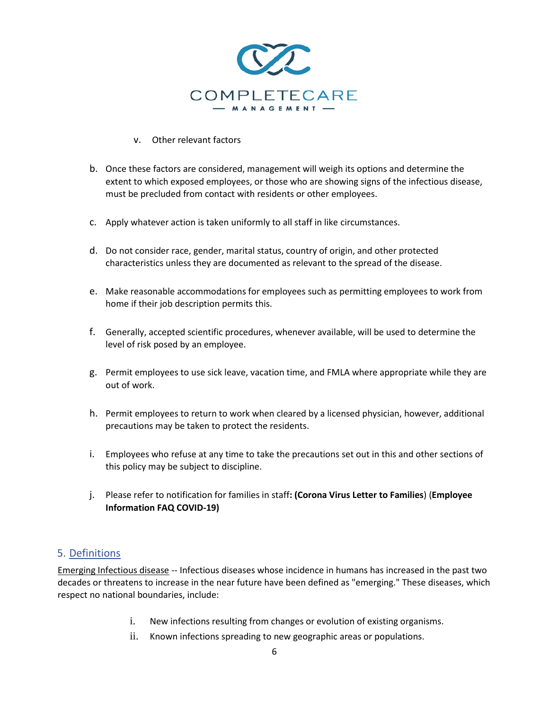

#### v. Other relevant factors

- b. Once these factors are considered, management will weigh its options and determine the extent to which exposed employees, or those who are showing signs of the infectious disease, must be precluded from contact with residents or other employees.
- c. Apply whatever action is taken uniformly to all staff in like circumstances.
- d. Do not consider race, gender, marital status, country of origin, and other protected characteristics unless they are documented as relevant to the spread of the disease.
- e. Make reasonable accommodations for employees such as permitting employees to work from home if their job description permits this.
- f. Generally, accepted scientific procedures, whenever available, will be used to determine the level of risk posed by an employee.
- g. Permit employees to use sick leave, vacation time, and FMLA where appropriate while they are out of work.
- h. Permit employees to return to work when cleared by a licensed physician, however, additional precautions may be taken to protect the residents.
- i. Employees who refuse at any time to take the precautions set out in this and other sections of this policy may be subject to discipline.
- j. Please refer to notification for families in staff**: (Corona Virus Letter to Families**) (**Employee Information FAQ COVID-19)**

# 5. Definitions

Emerging Infectious disease -- Infectious diseases whose incidence in humans has increased in the past two decades or threatens to increase in the near future have been defined as "emerging." These diseases, which respect no national boundaries, include:

- i. New infections resulting from changes or evolution of existing organisms.
- ii. Known infections spreading to new geographic areas or populations.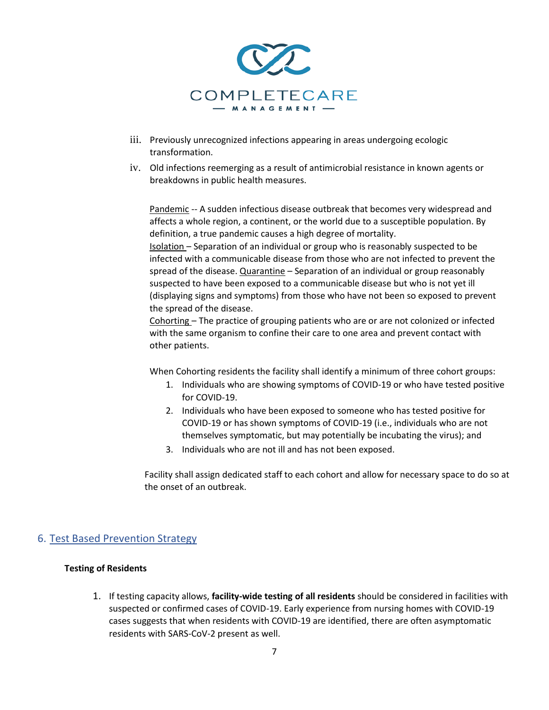

- iii. Previously unrecognized infections appearing in areas undergoing ecologic transformation.
- iv. Old infections reemerging as a result of antimicrobial resistance in known agents or breakdowns in public health measures.

Pandemic -- A sudden infectious disease outbreak that becomes very widespread and affects a whole region, a continent, or the world due to a susceptible population. By definition, a true pandemic causes a high degree of mortality.

Isolation – Separation of an individual or group who is reasonably suspected to be infected with a communicable disease from those who are not infected to prevent the spread of the disease. Quarantine - Separation of an individual or group reasonably suspected to have been exposed to a communicable disease but who is not yet ill (displaying signs and symptoms) from those who have not been so exposed to prevent the spread of the disease.

Cohorting – The practice of grouping patients who are or are not colonized or infected with the same organism to confine their care to one area and prevent contact with other patients.

When Cohorting residents the facility shall identify a minimum of three cohort groups:

- 1. Individuals who are showing symptoms of COVID-19 or who have tested positive for COVID-19.
- 2. Individuals who have been exposed to someone who has tested positive for COVID-19 or has shown symptoms of COVID-19 (i.e., individuals who are not themselves symptomatic, but may potentially be incubating the virus); and
- 3. Individuals who are not ill and has not been exposed.

Facility shall assign dedicated staff to each cohort and allow for necessary space to do so at the onset of an outbreak.

## 6. Test Based Prevention Strategy

#### **Testing of Residents**

1. If testing capacity allows, **facility-wide testing of all residents** should be considered in facilities with suspected or confirmed cases of COVID-19. Early experience from nursing homes with COVID-19 cases suggests that when residents with COVID-19 are identified, there are often asymptomatic residents with SARS-CoV-2 present as well.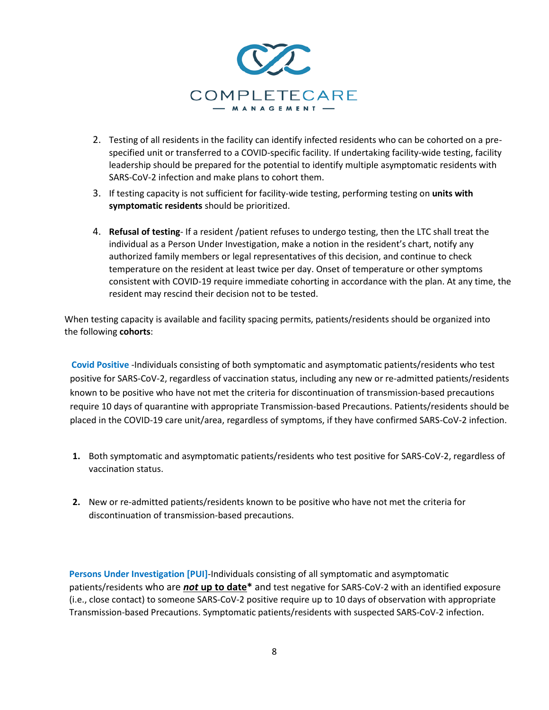

- 2. Testing of all residents in the facility can identify infected residents who can be cohorted on a prespecified unit or transferred to a COVID-specific facility. If undertaking facility-wide testing, facility leadership should be prepared for the potential to identify multiple asymptomatic residents with SARS-CoV-2 infection and make plans to cohort them.
- 3. If testing capacity is not sufficient for facility-wide testing, performing testing on **units with symptomatic residents** should be prioritized.
- 4. **Refusal of testing** If a resident /patient refuses to undergo testing, then the LTC shall treat the individual as a Person Under Investigation, make a notion in the resident's chart, notify any authorized family members or legal representatives of this decision, and continue to check temperature on the resident at least twice per day. Onset of temperature or other symptoms consistent with COVID-19 require immediate cohorting in accordance with the plan. At any time, the resident may rescind their decision not to be tested.

When testing capacity is available and facility spacing permits, patients/residents should be organized into the following **cohorts**:

**Covid Positive** -Individuals consisting of both symptomatic and asymptomatic patients/residents who test positive for SARS-CoV-2, regardless of vaccination status, including any new or re-admitted patients/residents known to be positive who have not met the criteria for discontinuation of transmission-based precautions require 10 days of quarantine with appropriate Transmission-based Precautions. Patients/residents should be placed in the COVID-19 care unit/area, regardless of symptoms, if they have confirmed SARS-CoV-2 infection.

- **1.** Both symptomatic and asymptomatic patients/residents who test positive for SARS-CoV-2, regardless of vaccination status.
- **2.** New or re-admitted patients/residents known to be positive who have not met the criteria for discontinuation of transmission-based precautions.

**Persons Under Investigation [PUI]**-Individuals consisting of all symptomatic and asymptomatic patients/residents who are *not* **up to date\*** and test negative for SARS-CoV-2 with an identified exposure (i.e., close contact) to someone SARS-CoV-2 positive require up to 10 days of observation with appropriate Transmission-based Precautions. Symptomatic patients/residents with suspected SARS-CoV-2 infection.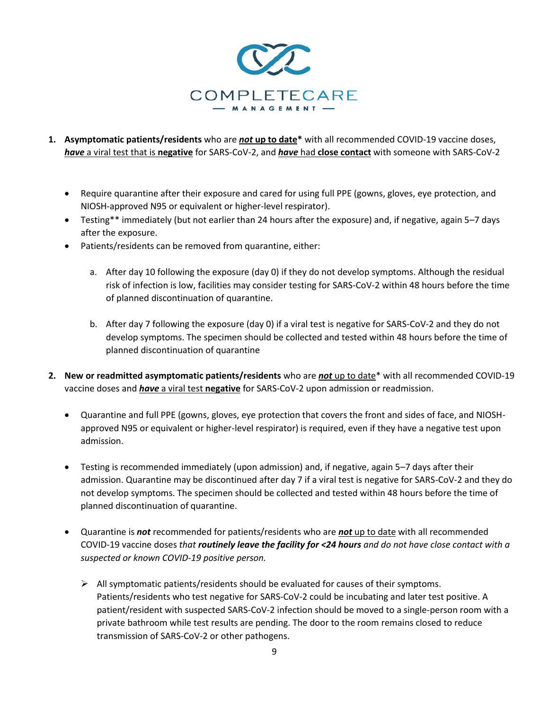

- **1. Asymptomatic patients/residents** who are *not* **up to date\*** with all recommended COVID-19 vaccine doses, *have* a viral test that is **negative** for SARS-CoV-2, and *have* had **close contact** with someone with SARS-CoV-2
	- Require quarantine after their exposure and cared for using full PPE (gowns, gloves, eye protection, and NIOSH-approved N95 or equivalent or higher-level respirator).
	- Testing\*\* immediately (but not earlier than 24 hours after the exposure) and, if negative, again 5–7 days after the exposure.
	- Patients/residents can be removed from quarantine, either:
		- a. After day 10 following the exposure (day 0) if they do not develop symptoms. Although the residual risk of infection is low, facilities may consider testing for SARS-CoV-2 within 48 hours before the time of planned discontinuation of quarantine.
		- b. After day 7 following the exposure (day 0) if a viral test is negative for SARS-CoV-2 and they do not develop symptoms. The specimen should be collected and tested within 48 hours before the time of planned discontinuation of quarantine
- **2. New or readmitted asymptomatic patients/residents** who are *not* up to date\* with all recommended COVID-19 vaccine doses and *have* a viral test **negative** for SARS-CoV-2 upon admission or readmission.
	- Quarantine and full PPE (gowns, gloves, eye protection that covers the front and sides of face, and NIOSHapproved N95 or equivalent or higher-level respirator) is required, even if they have a negative test upon admission.
	- Testing is recommended immediately (upon admission) and, if negative, again 5–7 days after their admission. Quarantine may be discontinued after day 7 if a viral test is negative for SARS-CoV-2 and they do not develop symptoms. The specimen should be collected and tested within 48 hours before the time of planned discontinuation of quarantine.
	- Quarantine is *not* recommended for patients/residents who are *not* up to date with all recommended COVID-19 vaccine doses *that routinely leave the facility for <24 hours and do not have close contact with a suspected or known COVID-19 positive person.*
		- $\triangleright$  All symptomatic patients/residents should be evaluated for causes of their symptoms. Patients/residents who test negative for SARS-CoV-2 could be incubating and later test positive. A patient/resident with suspected SARS-CoV-2 infection should be moved to a single-person room with a private bathroom while test results are pending. The door to the room remains closed to reduce transmission of SARS-CoV-2 or other pathogens.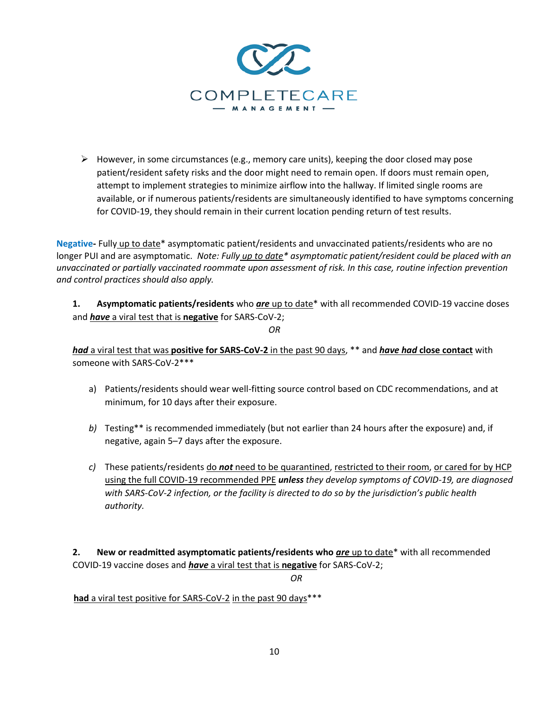

 $\triangleright$  However, in some circumstances (e.g., memory care units), keeping the door closed may pose patient/resident safety risks and the door might need to remain open. If doors must remain open, attempt to implement strategies to minimize airflow into the hallway. If limited single rooms are available, or if numerous patients/residents are simultaneously identified to have symptoms concerning for COVID-19, they should remain in their current location pending return of test results.

**Negative-** Fully up to date\* asymptomatic patient/residents and unvaccinated patients/residents who are no longer PUI and are asymptomatic. *Note: Fully up to date\* asymptomatic patient/resident could be placed with an unvaccinated or partially vaccinated roommate upon assessment of risk. In this case, routine infection prevention and control practices should also apply.*

**1. Asymptomatic patients/residents** who *are* up to date\* with all recommended COVID-19 vaccine doses and *have* a viral test that is **negative** for SARS-CoV-2;

*OR*

*had* a viral test that was **positive for SARS-CoV-2** in the past 90 days, \*\* and *have had* **close contact** with someone with SARS-CoV-2\*\*\*

- a) Patients/residents should wear well-fitting source control based on CDC recommendations, and at minimum, for 10 days after their exposure.
- *b)* Testing\*\* is recommended immediately (but not earlier than 24 hours after the exposure) and, if negative, again 5–7 days after the exposure.
- *c)* These patients/residents do *not* need to be quarantined, restricted to their room, or cared for by HCP using the full COVID-19 recommended PPE *unless they develop symptoms of COVID-19, are diagnosed with SARS-CoV-2 infection, or the facility is directed to do so by the jurisdiction's public health authority.*

**2. New or readmitted asymptomatic patients/residents who** *are* up to date\* with all recommended COVID-19 vaccine doses and *have* a viral test that is **negative** for SARS-CoV-2;

*OR*

 **had** a viral test positive for SARS-CoV-2 in the past 90 days\*\*\*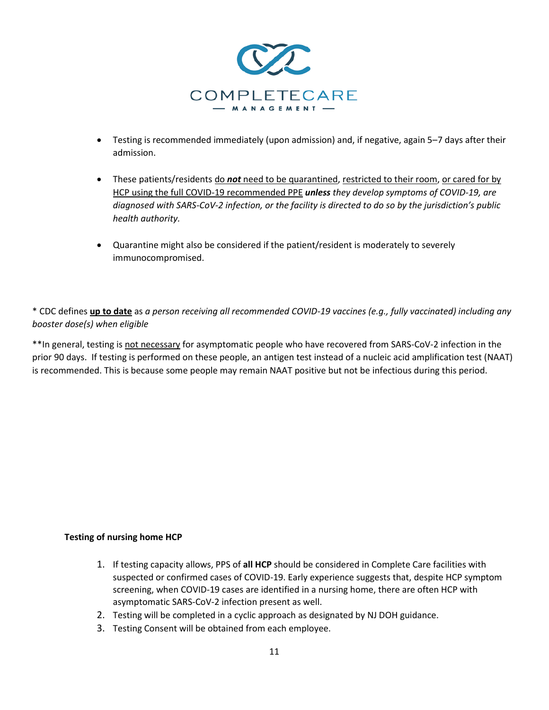

- Testing is recommended immediately (upon admission) and, if negative, again 5–7 days after their admission.
- These patients/residents do *not* need to be quarantined, restricted to their room, or cared for by HCP using the full COVID-19 recommended PPE *unless they develop symptoms of COVID-19, are diagnosed with SARS-CoV-2 infection, or the facility is directed to do so by the jurisdiction's public health authority.*
- Quarantine might also be considered if the patient/resident is moderately to severely immunocompromised.

\* CDC defines **up to date** as *a person receiving all recommended COVID-19 vaccines (e.g., fully vaccinated) including any booster dose(s) when eligible* 

\*\*In general, testing is not necessary for asymptomatic people who have recovered from SARS-CoV-2 infection in the prior 90 days. If testing is performed on these people, an antigen test instead of a nucleic acid amplification test (NAAT) is recommended. This is because some people may remain NAAT positive but not be infectious during this period.

## **Testing of nursing home HCP**

- 1. If testing capacity allows, PPS of **all HCP** should be considered in Complete Care facilities with suspected or confirmed cases of COVID-19. Early experience suggests that, despite HCP symptom screening, when COVID-19 cases are identified in a nursing home, there are often HCP with asymptomatic SARS-CoV-2 infection present as well.
- 2. Testing will be completed in a cyclic approach as designated by NJ DOH guidance.
- 3. Testing Consent will be obtained from each employee.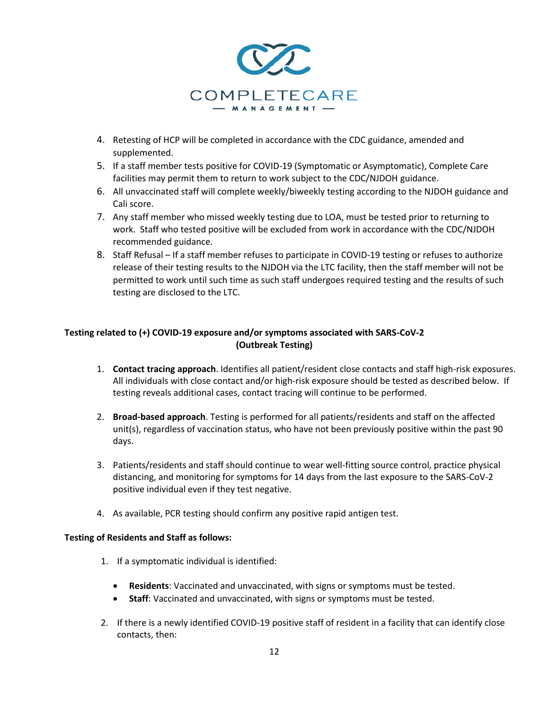

- 4. Retesting of HCP will be completed in accordance with the CDC guidance, amended and supplemented.
- 5. If a staff member tests positive for COVID-19 (Symptomatic or Asymptomatic), Complete Care facilities may permit them to return to work subject to the CDC/NJDOH guidance.
- 6. All unvaccinated staff will complete weekly/biweekly testing according to the NJDOH guidance and Cali score.
- 7. Any staff member who missed weekly testing due to LOA, must be tested prior to returning to work. Staff who tested positive will be excluded from work in accordance with the CDC/NJDOH recommended guidance.
- 8. Staff Refusal If a staff member refuses to participate in COVID-19 testing or refuses to authorize release of their testing results to the NJDOH via the LTC facility, then the staff member will not be permitted to work until such time as such staff undergoes required testing and the results of such testing are disclosed to the LTC.

## **Testing related to (+) COVID-19 exposure and/or symptoms associated with SARS-CoV-2 (Outbreak Testing)**

- 1. **Contact tracing approach**. Identifies all patient/resident close contacts and staff high-risk exposures. All individuals with close contact and/or high-risk exposure should be tested as described below. If testing reveals additional cases, contact tracing will continue to be performed.
- 2. **Broad-based approach**. Testing is performed for all patients/residents and staff on the affected unit(s), regardless of vaccination status, who have not been previously positive within the past 90 days.
- 3. Patients/residents and staff should continue to wear well-fitting source control, practice physical distancing, and monitoring for symptoms for 14 days from the last exposure to the SARS-CoV-2 positive individual even if they test negative.
- 4. As available, PCR testing should confirm any positive rapid antigen test.

#### **Testing of Residents and Staff as follows:**

- 1. If a symptomatic individual is identified:
	- **Residents**: Vaccinated and unvaccinated, with signs or symptoms must be tested.
	- **Staff**: Vaccinated and unvaccinated, with signs or symptoms must be tested.
- 2. If there is a newly identified COVID-19 positive staff of resident in a facility that can identify close contacts, then: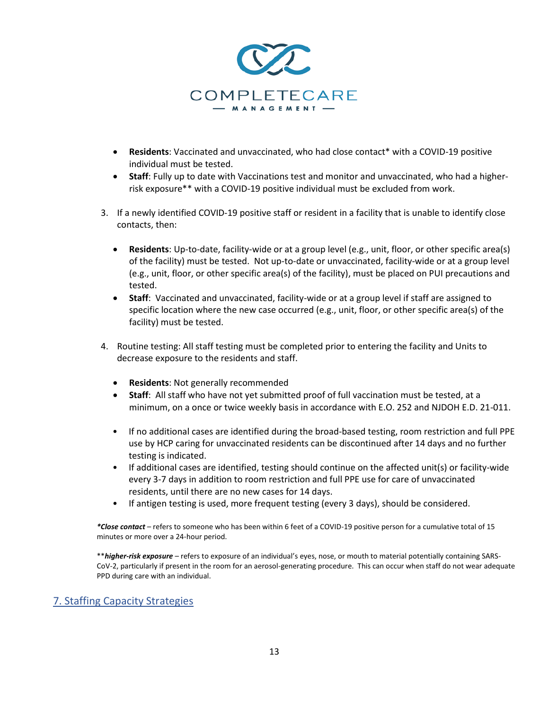

- **Residents**: Vaccinated and unvaccinated, who had close contact\* with a COVID-19 positive individual must be tested.
- **Staff**: Fully up to date with Vaccinations test and monitor and unvaccinated, who had a higherrisk exposure\*\* with a COVID-19 positive individual must be excluded from work.
- 3. If a newly identified COVID-19 positive staff or resident in a facility that is unable to identify close contacts, then:
	- **Residents**: Up-to-date, facility-wide or at a group level (e.g., unit, floor, or other specific area(s) of the facility) must be tested.Not up-to-date or unvaccinated, facility-wide or at a group level (e.g., unit, floor, or other specific area(s) of the facility), must be placed on PUI precautions and tested.
	- **Staff**: Vaccinated and unvaccinated, facility-wide or at a group level if staff are assigned to specific location where the new case occurred (e.g., unit, floor, or other specific area(s) of the facility) must be tested.
- 4. Routine testing: All staff testing must be completed prior to entering the facility and Units to decrease exposure to the residents and staff.
	- **Residents**: Not generally recommended
	- **Staff**: All staff who have not yet submitted proof of full vaccination must be tested, at a minimum, on a once or twice weekly basis in accordance with E.O. 252 and NJDOH E.D. 21-011.
	- If no additional cases are identified during the broad-based testing, room restriction and full PPE use by HCP caring for unvaccinated residents can be discontinued after 14 days and no further testing is indicated.
	- If additional cases are identified, testing should continue on the affected unit(s) or facility-wide every 3-7 days in addition to room restriction and full PPE use for care of unvaccinated residents, until there are no new cases for 14 days.
	- If antigen testing is used, more frequent testing (every 3 days), should be considered.

*\*Close contact* – refers to someone who has been within 6 feet of a COVID-19 positive person for a cumulative total of 15 minutes or more over a 24-hour period.

\*\**higher-risk exposure* – refers to exposure of an individual's eyes, nose, or mouth to material potentially containing SARS-CoV-2, particularly if present in the room for an aerosol-generating procedure. This can occur when staff do not wear adequate PPD during care with an individual.

## 7. Staffing Capacity Strategies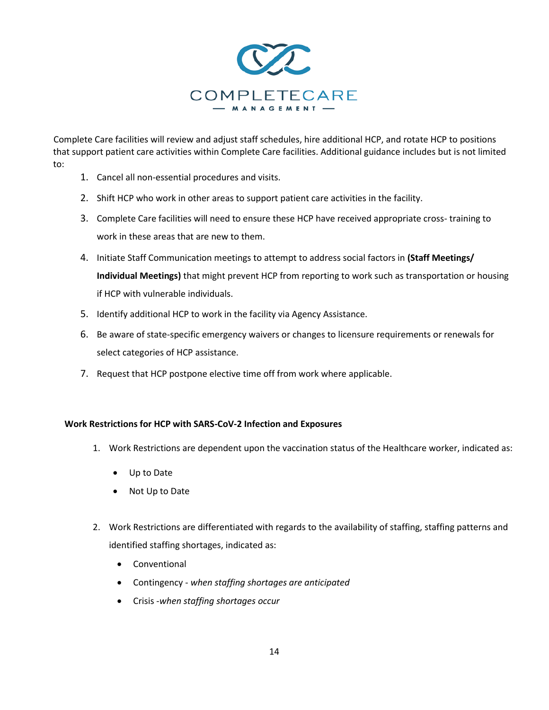

Complete Care facilities will review and adjust staff schedules, hire additional HCP, and rotate HCP to positions that support patient care activities within Complete Care facilities. Additional guidance includes but is not limited to:

- 1. Cancel all non-essential procedures and visits.
- 2. Shift HCP who work in other areas to support patient care activities in the facility.
- 3. Complete Care facilities will need to ensure these HCP have received appropriate cross- training to work in these areas that are new to them.
- 4. Initiate Staff Communication meetings to attempt to address social factors in **(Staff Meetings/ Individual Meetings)** that might prevent HCP from reporting to work such as transportation or housing if HCP with vulnerable individuals.
- 5. Identify additional HCP to work in the facility via Agency Assistance.
- 6. Be aware of state-specific emergency waivers or changes to licensure requirements or renewals for select categories of HCP assistance.
- 7. Request that HCP postpone elective time off from work where applicable.

#### **Work Restrictions for HCP with SARS-CoV-2 Infection and Exposures**

- 1. Work Restrictions are dependent upon the vaccination status of the Healthcare worker, indicated as:
	- Up to Date
	- Not Up to Date
- 2. Work Restrictions are differentiated with regards to the availability of staffing, staffing patterns and identified staffing shortages, indicated as:
	- Conventional
	- Contingency *when staffing shortages are anticipated*
	- Crisis -*when staffing shortages occur*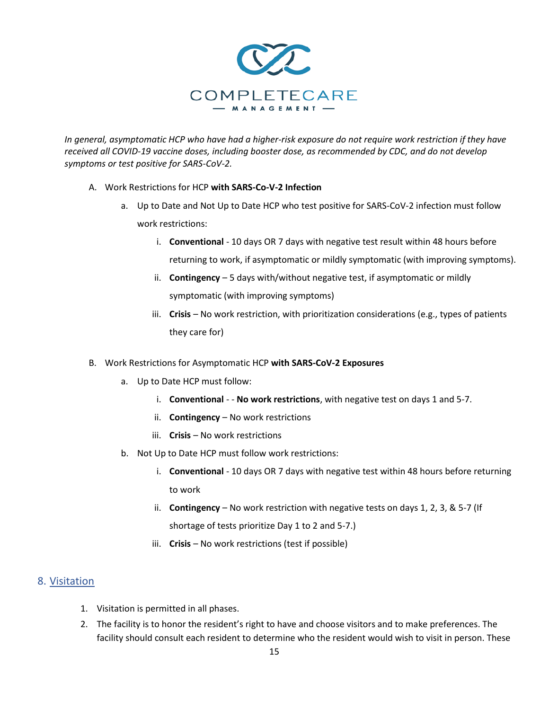

*In general, asymptomatic HCP who have had a higher-risk exposure do not require work restriction if they have received all COVID-19 vaccine doses, including booster dose, as recommended by CDC, and do not develop symptoms or test positive for SARS-CoV-2.* 

- A. Work Restrictions for HCP **with SARS-Co-V-2 Infection**
	- a. Up to Date and Not Up to Date HCP who test positive for SARS-CoV-2 infection must follow work restrictions:
		- i. **Conventional** 10 days OR 7 days with negative test result within 48 hours before returning to work, if asymptomatic or mildly symptomatic (with improving symptoms).
		- ii. **Contingency** 5 days with/without negative test, if asymptomatic or mildly symptomatic (with improving symptoms)
		- iii. **Crisis**  No work restriction, with prioritization considerations (e.g., types of patients they care for)
- B. Work Restrictions for Asymptomatic HCP **with SARS-CoV-2 Exposures**
	- a. Up to Date HCP must follow:
		- i. **Conventional** - **No work restrictions**, with negative test on days 1 and 5-7.
		- ii. **Contingency** No work restrictions
		- iii. **Crisis No work restrictions**
	- b. Not Up to Date HCP must follow work restrictions:
		- i. **Conventional** 10 days OR 7 days with negative test within 48 hours before returning to work
		- ii. **Contingency**  No work restriction with negative tests on days 1, 2, 3, & 5-7 (If shortage of tests prioritize Day 1 to 2 and 5-7.)
		- iii. **Crisis** No work restrictions (test if possible)

## 8. Visitation

- 1. Visitation is permitted in all phases.
- 2. The facility is to honor the resident's right to have and choose visitors and to make preferences. The facility should consult each resident to determine who the resident would wish to visit in person. These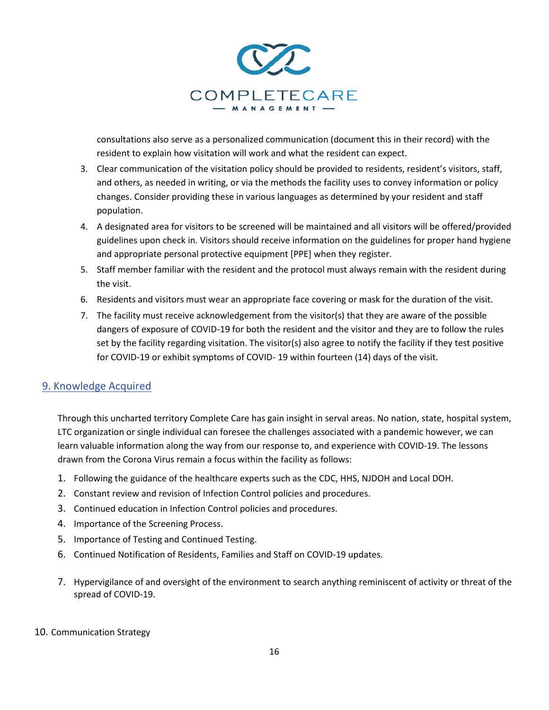

consultations also serve as a personalized communication (document this in their record) with the resident to explain how visitation will work and what the resident can expect.

- 3. Clear communication of the visitation policy should be provided to residents, resident's visitors, staff, and others, as needed in writing, or via the methods the facility uses to convey information or policy changes. Consider providing these in various languages as determined by your resident and staff population.
- 4. A designated area for visitors to be screened will be maintained and all visitors will be offered/provided guidelines upon check in. Visitors should receive information on the guidelines for proper hand hygiene and appropriate personal protective equipment [PPE] when they register.
- 5. Staff member familiar with the resident and the protocol must always remain with the resident during the visit.
- 6. Residents and visitors must wear an appropriate face covering or mask for the duration of the visit.
- 7. The facility must receive acknowledgement from the visitor(s) that they are aware of the possible dangers of exposure of COVID-19 for both the resident and the visitor and they are to follow the rules set by the facility regarding visitation. The visitor(s) also agree to notify the facility if they test positive for COVID-19 or exhibit symptoms of COVID- 19 within fourteen (14) days of the visit.

# 9. Knowledge Acquired

Through this uncharted territory Complete Care has gain insight in serval areas. No nation, state, hospital system, LTC organization or single individual can foresee the challenges associated with a pandemic however, we can learn valuable information along the way from our response to, and experience with COVID-19. The lessons drawn from the Corona Virus remain a focus within the facility as follows:

- 1. Following the guidance of the healthcare experts such as the CDC, HHS, NJDOH and Local DOH.
- 2. Constant review and revision of Infection Control policies and procedures.
- 3. Continued education in Infection Control policies and procedures.
- 4. Importance of the Screening Process.
- 5. Importance of Testing and Continued Testing.
- 6. Continued Notification of Residents, Families and Staff on COVID-19 updates.
- 7. Hypervigilance of and oversight of the environment to search anything reminiscent of activity or threat of the spread of COVID-19.

#### 10. Communication Strategy